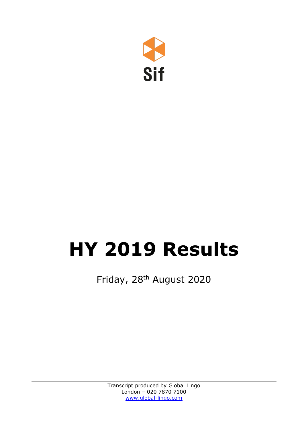

## **HY 2019 Results**

Friday, 28th August 2020

Transcript produced by Global Lingo London – 020 7870 7100 [www.global-lingo.com](http://www.global-lingo.com/)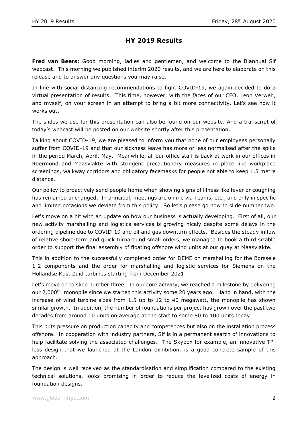## **HY 2019 Results**

**Fred van Beers:** Good morning, ladies and gentlemen, and welcome to the Biannual Sif webcast. This morning we published interim 2020 results, and we are here to elaborate on this release and to answer any questions you may raise.

In line with social distancing recommendations to fight COVID-19, we again decided to do a virtual presentation of results. This time, however, with the faces of our CFO, Leon Verweij, and myself, on your screen in an attempt to bring a bit more connectivity. Let's see how it works out.

The slides we use for this presentation can also be found on our website. And a transcript of today's webcast will be posted on our website shortly after this presentation.

Talking about COVID-19, we are pleased to inform you that none of our employees personally suffer from COVID-19 and that our sickness leave has more or less normalised after the spike in the period March, April, May. Meanwhile, all our office staff is back at work in our offices in Roermond and Maasvlakte with stringent precautionary measures in place like workplace screenings, walkway corridors and obligatory facemasks for people not able to keep 1.5 metre distance.

Our policy to proactively send people home when showing signs of illness like fever or coughing has remained unchanged. In principal, meetings are online via Teams, etc., and only in specific and limited occasions we deviate from this policy. So let's please go now to slide number two.

Let's move on a bit with an update on how our business is actually developing. First of all, our new activity marshalling and logistics services is growing nicely despite some delays in the ordering pipeline due to COVID-19 and oil and gas downturn effects. Besides the steady inflow of relative short-term and quick turnaround small orders, we managed to book a third sizable order to support the final assembly of floating offshore wind units at our quay at Maasvlakte.

This in addition to the successfully completed order for DEME on marshalling for the Borssele 1-2 components and the order for marshalling and logistic services for Siemens on the Hollandse Kust Zuid turbines starting from December 2021.

Let's move on to slide number three. In our core activity, we reached a milestone by delivering our  $2,000$ <sup>th</sup> monopile since we started this activity some 20 years ago. Hand in hand, with the increase of wind turbine sizes from 1.5 up to 12 to 40 megawatt, the monopile has shown similar growth. In addition, the number of foundations per project has grown over the past two decades from around 10 units on average at the start to some 80 to 100 units today.

This puts pressure on production capacity and competences but also on the installation process offshore. In cooperation with industry partners, Sif is in a permanent search of innovations to help facilitate solving the associated challenges. The Skybox for example, an innovative TPless design that we launched at the London exhibition, is a good concrete sample of this approach.

The design is well received as the standardisation and simplification compared to the existing technical solutions, looks promising in order to reduce the levelized costs of energy in foundation designs.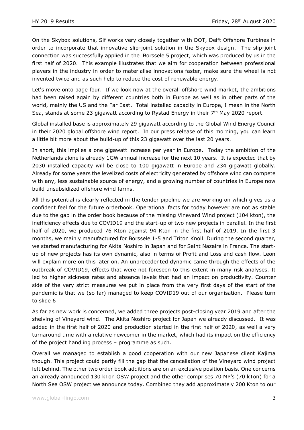On the Skybox solutions, Sif works very closely together with DOT, Delft Offshore Turbines in order to incorporate that innovative slip-joint solution in the Skybox design. The slip-joint connection was successfully applied in the Borssele 5 project, which was produced by us in the first half of 2020. This example illustrates that we aim for cooperation between professional players in the industry in order to materialise innovations faster, make sure the wheel is not invented twice and as such help to reduce the cost of renewable energy.

Let's move onto page four. If we look now at the overall offshore wind market, the ambitions had been raised again by different countries both in Europe as well as in other parts of the world, mainly the US and the Far East. Total installed capacity in Europe, I mean in the North Sea, stands at some 23 gigawatt according to Rystad Energy in their  $7<sup>th</sup>$  May 2020 report.

Global installed base is approximately 29 gigawatt according to the Global Wind Energy Council in their 2020 global offshore wind report. In our press release of this morning, you can learn a little bit more about the build-up of this 23 gigawatt over the last 20 years.

In short, this implies a one gigawatt increase per year in Europe. Today the ambition of the Netherlands alone is already 1GW annual increase for the next 10 years. It is expected that by 2030 installed capacity will be close to 100 gigawatt in Europe and 234 gigawatt globally. Already for some years the levelized costs of electricity generated by offshore wind can compete with any, less sustainable source of energy, and a growing number of countries in Europe now build unsubsidized offshore wind farms.

All this potential is clearly reflected in the tender pipeline we are working on which gives us a confident feel for the future orderbook. Operational facts for today however are not as stable due to the gap in the order book because of the missing Vineyard Wind project (104 kton), the inefficiency effects due to COVID19 and the start-up of two new projects in parallel. In the first half of 2020, we produced 76 Kton against 94 Kton in the first half of 2019. In the first 3 months, we mainly manufactured for Borssele 1-5 and Triton Knoll. During the second quarter, we started manufacturing for Akita Noshiro in Japan and for Saint Nazaire in France. The startup of new projects has its own dynamic, also in terms of Profit and Loss and cash flow. Leon will explain more on this later on. An unprecedented dynamic came through the effects of the outbreak of COVID19, effects that were not foreseen to this extent in many risk analyses. It led to higher sickness rates and absence levels that had an impact on productivity. Counter side of the very strict measures we put in place from the very first days of the start of the pandemic is that we (so far) managed to keep COVID19 out of our organisation. Please turn to slide 6

As far as new work is concerned, we added three projects post-closing year 2019 and after the shelving of Vineyard wind. The Akita Noshiro project for Japan we already discussed. It was added in the first half of 2020 and production started in the first half of 2020, as well a very turnaround time with a relative newcomer in the market, which had its impact on the efficiency of the project handling process – programme as such.

Overall we managed to establish a good cooperation with our new Japanese client Kajima though. This project could partly fill the gap that the cancellation of the Vineyard wind project left behind. The other two order book additions are on an exclusive position basis. One concerns an already announced 130 kTon OSW project and the other comprises 70 MP's (70 kTon) for a North Sea OSW project we announce today. Combined they add approximately 200 Kton to our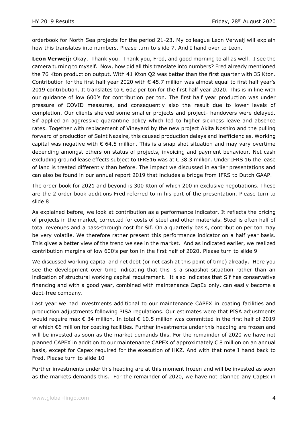orderbook for North Sea projects for the period 21-23. My colleague Leon Verweij will explain how this translates into numbers. Please turn to slide 7. And I hand over to Leon.

**Leon Verweij:** Okay. Thank you. Thank you, Fred, and good morning to all as well. I see the camera turning to myself. Now, how did all this translate into numbers? Fred already mentioned the 76 Kton production output. With 41 Kton Q2 was better than the first quarter with 35 Kton. Contribution for the first half year 2020 with  $\epsilon$  45.7 million was almost equal to first half year's 2019 contribution. It translates to  $\epsilon$  602 per ton for the first half year 2020. This is in line with our guidance of low 600's for contribution per ton. The first half year production was under pressure of COVID measures, and consequently also the result due to lower levels of completion. Our clients shelved some smaller projects and project- handovers were delayed. Sif applied an aggressive quarantine policy which led to higher sickness leave and absence rates. Together with replacement of Vineyard by the new project Akita Noshiro and the pulling forward of production of Saint Nazaire, this caused production delays and inefficiencies. Working capital was negative with  $\epsilon$  64.5 million. This is a snap shot situation and may vary overtime depending amongst others on status of projects, invoicing and payment behaviour. Net cash excluding ground lease effects subject to IFRS16 was at € 38.3 million. Under IFRS 16 the lease of land is treated differently than before. The impact we discussed in earlier presentations and can also be found in our annual report 2019 that includes a bridge from IFRS to Dutch GAAP.

The order book for 2021 and beyond is 300 Kton of which 200 in exclusive negotiations. These are the 2 order book additions Fred referred to in his part of the presentation. Please turn to slide 8

As explained before, we look at contribution as a performance indicator. It reflects the pricing of projects in the market, corrected for costs of steel and other materials. Steel is often half of total revenues and a pass-through cost for Sif. On a quarterly basis, contribution per ton may be very volatile. We therefore rather present this performance indicator on a half year basis. This gives a better view of the trend we see in the market. And as indicated earlier, we realized contribution margins of low 600's per ton in the first half of 2020. Please turn to slide 9

We discussed working capital and net debt (or net cash at this point of time) already. Here you see the development over time indicating that this is a snapshot situation rather than an indication of structural working capital requirement. It also indicates that Sif has conservative financing and with a good year, combined with maintenance CapEx only, can easily become a debt-free company.

Last year we had investments additional to our maintenance CAPEX in coating facilities and production adjustments following PISA regulations. Our estimates were that PISA adjustments would require max € 34 million. In total € 10.5 million was committed in the first half of 2019 of which €6 million for coating facilities. Further investments under this heading are frozen and will be invested as soon as the market demands this. For the remainder of 2020 we have not planned CAPEX in addition to our maintenance CAPEX of approximately € 8 million on an annual basis, except for Capex required for the execution of HKZ. And with that note I hand back to Fred. Please turn to slide 10

Further investments under this heading are at this moment frozen and will be invested as soon as the markets demands this. For the remainder of 2020, we have not planned any CapEx in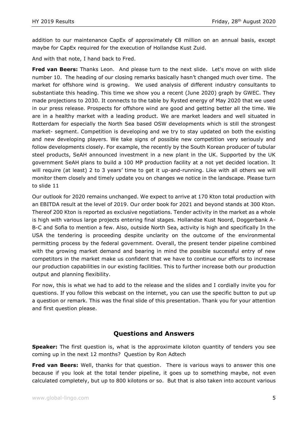addition to our maintenance CapEx of approximately €8 million on an annual basis, except maybe for CapEx required for the execution of Hollandse Kust Zuid.

And with that note, I hand back to Fred.

**Fred van Beers:** Thanks Leon. And please turn to the next slide. Let's move on with slide number 10. The heading of our closing remarks basically hasn't changed much over time. The market for offshore wind is growing. We used analysis of different industry consultants to substantiate this heading. This time we show you a recent (June 2020) graph by GWEC. They made projections to 2030. It connects to the table by Rysted energy of May 2020 that we used in our press release. Prospects for offshore wind are good and getting better all the time. We are in a healthy market with a leading product. We are market leaders and well situated in Rotterdam for especially the North Sea based OSW developments which is still the strongest market- segment. Competition is developing and we try to stay updated on both the existing and new developing players. We take signs of possible new competition very seriously and follow developments closely. For example, the recently by the South Korean producer of tubular steel products, SeAH announced investment in a new plant in the UK. Supported by the UK government SeAH plans to build a 100 MP production facility at a not yet decided location. It will require (at least) 2 to 3 years' time to get it up-and-running. Like with all others we will monitor them closely and timely update you on changes we notice in the landscape. Please turn to slide 11

Our outlook for 2020 remains unchanged. We expect to arrive at 170 Kton total production with an EBITDA result at the level of 2019. Our order book for 2021 and beyond stands at 300 Kton. Thereof 200 Kton is reported as exclusive negotiations. Tender activity in the market as a whole is high with various large projects entering final stages. Hollandse Kust Noord, Doggerbank A-B-C and Sofia to mention a few. Also, outside North Sea, activity is high and specifically In the USA the tendering is proceeding despite unclarity on the outcome of the environmental permitting process by the federal government. Overall, the present tender pipeline combined with the growing market demand and bearing in mind the possible successful entry of new competitors in the market make us confident that we have to continue our efforts to increase our production capabilities in our existing facilities. This to further increase both our production output and planning flexibility.

For now, this is what we had to add to the release and the slides and I cordially invite you for questions. If you follow this webcast on the internet, you can use the specific button to put up a question or remark. This was the final slide of this presentation. Thank you for your attention and first question please.

## **Questions and Answers**

**Speaker:** The first question is, what is the approximate kiloton quantity of tenders you see coming up in the next 12 months? Question by Ron Adtech

**Fred van Beers:** Well, thanks for that question. There is various ways to answer this one because if you look at the total tender pipeline, it goes up to something maybe, not even calculated completely, but up to 800 kilotons or so. But that is also taken into account various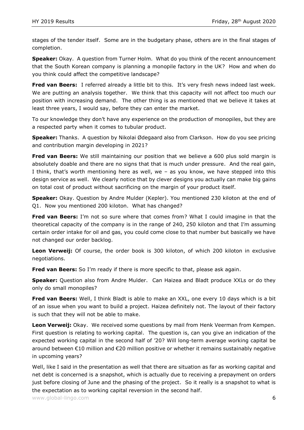stages of the tender itself. Some are in the budgetary phase, others are in the final stages of completion.

**Speaker:** Okay. A question from Turner Holm. What do you think of the recent announcement that the South Korean company is planning a monopile factory in the UK? How and when do you think could affect the competitive landscape?

**Fred van Beers:** I referred already a little bit to this. It's very fresh news indeed last week. We are putting an analysis together. We think that this capacity will not affect too much our position with increasing demand. The other thing is as mentioned that we believe it takes at least three years, I would say, before they can enter the market.

To our knowledge they don't have any experience on the production of monopiles, but they are a respected party when it comes to tubular product.

**Speaker:** Thanks. A question by Nikolai Ødegaard also from Clarkson. How do you see pricing and contribution margin developing in 2021?

Fred van Beers: We still maintaining our position that we believe a 600 plus sold margin is absolutely doable and there are no signs that that is much under pressure. And the real gain, I think, that's worth mentioning here as well, we – as you know, we have stepped into this design service as well. We clearly notice that by clever designs you actually can make big gains on total cost of product without sacrificing on the margin of your product itself.

**Speaker:** Okay. Question by Andre Mulder (Kepler). You mentioned 230 kiloton at the end of Q1. Now you mentioned 200 kiloton. What has changed?

**Fred van Beers:** I'm not so sure where that comes from? What I could imagine in that the theoretical capacity of the company is in the range of 240, 250 kiloton and that I'm assuming certain order intake for oil and gas, you could come close to that number but basically we have not changed our order backlog.

**Leon Verweij:** Of course, the order book is 300 kiloton, of which 200 kiloton in exclusive negotiations.

**Fred van Beers:** So I'm ready if there is more specific to that, please ask again.

**Speaker:** Question also from Andre Mulder. Can Haizea and Bladt produce XXLs or do they only do small monopiles?

**Fred van Beers:** Well, I think Bladt is able to make an XXL, one every 10 days which is a bit of an issue when you want to build a project. Haizea definitely not. The layout of their factory is such that they will not be able to make.

**Leon Verweij:** Okay. We received some questions by mail from Henk Veerman from Kempen. First question is relating to working capital. The question is, can you give an indication of the expected working capital in the second half of '20? Will long-term average working capital be around between €10 million and €20 million positive or whether it remains sustainably negative in upcoming years?

Well, like I said in the presentation as well that there are situation as far as working capital and net debt is concerned is a snapshot, which is actually due to receiving a prepayment on orders just before closing of June and the phasing of the project. So it really is a snapshot to what is the expectation as to working capital reversion in the second half.

www.global-lingo.com  $\qquad \qquad$  6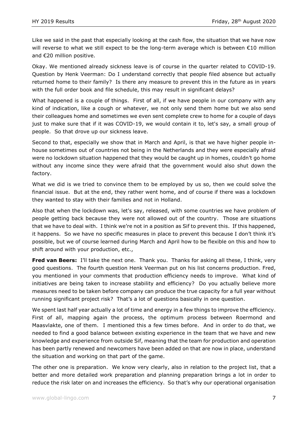Like we said in the past that especially looking at the cash flow, the situation that we have now will reverse to what we still expect to be the long-term average which is between €10 million and €20 million positive.

Okay. We mentioned already sickness leave is of course in the quarter related to COVID-19. Question by Henk Veerman: Do I understand correctly that people filed absence but actually returned home to their family? Is there any measure to prevent this in the future as in years with the full order book and file schedule, this may result in significant delays?

What happened is a couple of things. First of all, if we have people in our company with any kind of indication, like a cough or whatever, we not only send them home but we also send their colleagues home and sometimes we even sent complete crew to home for a couple of days just to make sure that if it was COVID-19, we would contain it to, let's say, a small group of people. So that drove up our sickness leave.

Second to that, especially we show that in March and April, is that we have higher people inhouse sometimes out of countries not being in the Netherlands and they were especially afraid were no lockdown situation happened that they would be caught up in homes, couldn't go home without any income since they were afraid that the government would also shut down the factory.

What we did is we tried to convince them to be employed by us so, then we could solve the financial issue. But at the end, they rather went home, and of course if there was a lockdown they wanted to stay with their families and not in Holland.

Also that when the lockdown was, let's say, released, with some countries we have problem of people getting back because they were not allowed out of the country. Those are situations that we have to deal with. I think we're not in a position as Sif to prevent this. If this happened, it happens. So we have no specific measures in place to prevent this because I don't think it's possible, but we of course learned during March and April how to be flexible on this and how to shift around with your production, etc.,

**Fred van Beers:** I'll take the next one. Thank you. Thanks for asking all these, I think, very good questions. The fourth question Henk Veerman put on his list concerns production. Fred, you mentioned in your comments that production efficiency needs to improve. What kind of initiatives are being taken to increase stability and efficiency? Do you actually believe more measures need to be taken before company can produce the true capacity for a full year without running significant project risk? That's a lot of questions basically in one question.

We spent last half year actually a lot of time and energy in a few things to improve the efficiency. First of all, mapping again the process, the optimum process between Roermond and Maasvlakte, one of them. I mentioned this a few times before. And in order to do that, we needed to find a good balance between existing experience in the team that we have and new knowledge and experience from outside Sif, meaning that the team for production and operation has been partly renewed and newcomers have been added on that are now in place, understand the situation and working on that part of the game.

The other one is preparation. We know very clearly, also in relation to the project list, that a better and more detailed work preparation and planning preparation brings a lot in order to reduce the risk later on and increases the efficiency. So that's why our operational organisation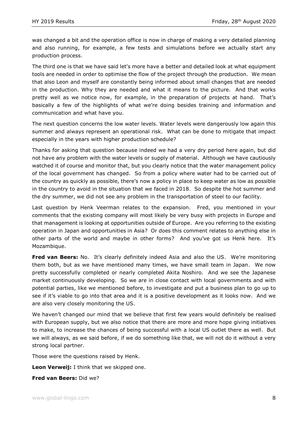was changed a bit and the operation office is now in charge of making a very detailed planning and also running, for example, a few tests and simulations before we actually start any production process.

The third one is that we have said let's more have a better and detailed look at what equipment tools are needed in order to optimise the flow of the project through the production. We mean that also Leon and myself are constantly being informed about small changes that are needed in the production. Why they are needed and what it means to the picture. And that works pretty well as we notice now, for example, in the preparation of projects at hand. That's basically a few of the highlights of what we're doing besides training and information and communication and what have you.

The next question concerns the low water levels. Water levels were dangerously low again this summer and always represent an operational risk. What can be done to mitigate that impact especially in the years with higher production schedule?

Thanks for asking that question because indeed we had a very dry period here again, but did not have any problem with the water levels or supply of material. Although we have cautiously watched it of course and monitor that, but you clearly notice that the water management policy of the local government has changed. So from a policy where water had to be carried out of the country as quickly as possible, there's now a policy in place to keep water as low as possible in the country to avoid in the situation that we faced in 2018. So despite the hot summer and the dry summer, we did not see any problem in the transportation of steel to our facility.

Last question by Henk Veerman relates to the expansion. Fred, you mentioned in your comments that the existing company will most likely be very busy with projects in Europe and that management is looking at opportunities outside of Europe. Are you referring to the existing operation in Japan and opportunities in Asia? Or does this comment relates to anything else in other parts of the world and maybe in other forms? And you've got us Henk here. It's Mozambique.

**Fred van Beers:** No. It's clearly definitely indeed Asia and also the US. We're monitoring them both, but as we have mentioned many times, we have small team in Japan. We now pretty successfully completed or nearly completed Akita Noshiro. And we see the Japanese market continuously developing. So we are in close contact with local governments and with potential parties, like we mentioned before, to investigate and put a business plan to go up to see if it's viable to go into that area and it is a positive development as it looks now. And we are also very closely monitoring the US.

We haven't changed our mind that we believe that first few years would definitely be realised with European supply, but we also notice that there are more and more hope giving initiatives to make, to increase the chances of being successful with a local US outlet there as well. But we will always, as we said before, if we do something like that, we will not do it without a very strong local partner.

Those were the questions raised by Henk.

**Leon Verweij:** I think that we skipped one.

**Fred van Beers:** Did we?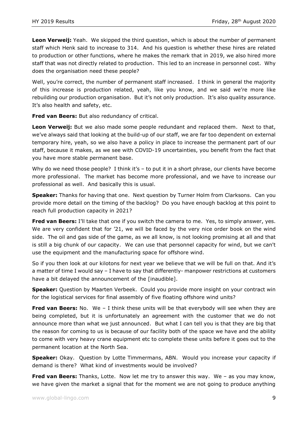**Leon Verweij:** Yeah. We skipped the third question, which is about the number of permanent staff which Henk said to increase to 314. And his question is whether these hires are related to production or other functions, where he makes the remark that in 2019, we also hired more staff that was not directly related to production. This led to an increase in personnel cost. Why does the organisation need these people?

Well, you're correct, the number of permanent staff increased. I think in general the majority of this increase is production related, yeah, like you know, and we said we're more like rebuilding our production organisation. But it's not only production. It's also quality assurance. It's also health and safety, etc.

**Fred van Beers:** But also redundancy of critical.

Leon Verweij: But we also made some people redundant and replaced them. Next to that, we've always said that looking at the build-up of our staff, we are far too dependent on external temporary hire, yeah, so we also have a policy in place to increase the permanent part of our staff, because it makes, as we see with COVID-19 uncertainties, you benefit from the fact that you have more stable permanent base.

Why do we need those people? I think it's – to put it in a short phrase, our clients have become more professional. The market has become more professional, and we have to increase our professional as well. And basically this is usual.

**Speaker:** Thanks for having that one. Next question by Turner Holm from Clarksons. Can you provide more detail on the timing of the backlog? Do you have enough backlog at this point to reach full production capacity in 2021?

**Fred van Beers:** I'll take that one if you switch the camera to me. Yes, to simply answer, yes. We are very confident that for '21, we will be faced by the very nice order book on the wind side. The oil and gas side of the game, as we all know, is not looking promising at all and that is still a big chunk of our capacity. We can use that personnel capacity for wind, but we can't use the equipment and the manufacturing space for offshore wind.

So if you then look at our kilotons for next year we believe that we will be full on that. And it's a matter of time I would say – I have to say that differently- manpower restrictions at customers have a bit delayed the announcement of the [inaudible].

**Speaker:** Question by Maarten Verbeek. Could you provide more insight on your contract win for the logistical services for final assembly of five floating offshore wind units?

**Fred van Beers:** No. We - I think these units will be that everybody will see when they are being completed, but it is unfortunately an agreement with the customer that we do not announce more than what we just announced. But what I can tell you is that they are big that the reason for coming to us is because of our facility both of the space we have and the ability to come with very heavy crane equipment etc to complete these units before it goes out to the permanent location at the North Sea.

**Speaker:** Okay. Question by Lotte Timmermans, ABN. Would you increase your capacity if demand is there? What kind of investments would be involved?

**Fred van Beers:** Thanks, Lotte. Now let me try to answer this way. We – as you may know, we have given the market a signal that for the moment we are not going to produce anything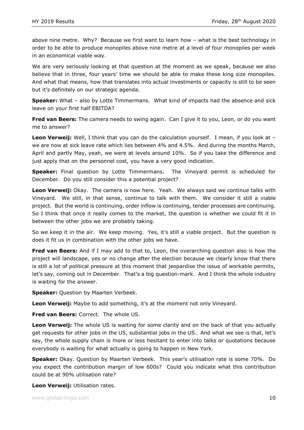above nine metre. Why? Because we first want to learn how – what is the best technology in order to be able to produce monopiles above nine metre at a level of four monopiles per week in an economical viable way.

We are very seriously looking at that question at the moment as we speak, because we also believe that in three, four years' time we should be able to make these king size monopiles. And what that means, how that translates into actual investments or capacity is still to be seen but it's definitely on our strategic agenda.

**Speaker:** What - also by Lotte Timmermans. What kind of impacts had the absence and sick leave on your first half EBITDA?

**Fred van Beers:** The camera needs to swing again. Can I give it to you, Leon, or do you want me to answer?

**Leon Verweij:** Well, I think that you can do the calculation yourself. I mean, if you look at – we are now at sick leave rate which lies between 4% and 4.5%. And during the months March, April and partly May, yeah, we were at levels around 10%. So if you take the difference and just apply that on the personnel cost, you have a very good indication.

**Speaker:** Final question by Lotte Timmermans. The Vineyard permit is scheduled for December. Do you still consider this a potential project?

**Leon Verweij:** Okay. The camera is now here. Yeah. We always said we continue talks with Vineyard. We still, in that sense, continue to talk with them. We consider it still a viable project. But the world is continuing, order inflow is continuing, tender processes are continuing. So I think that once it really comes to the market, the question is whether we could fit it in between the other jobs we are probably taking.

So we keep it in the air. We keep moving. Yes, it's still a viable project. But the question is does it fit us in combination with the other jobs we have.

**Fred van Beers:** And if I may add to that to, Leon, the overarching question also is how the project will landscape, yes or no change after the election because we clearly know that there is still a lot of political pressure at this moment that jeopardise the issue of workable permits, let's say, coming out in December. That's a big question-mark. And I think the whole industry is waiting for the answer.

**Speaker:** Question by Maarten Verbeek.

**Leon Verweij:** Maybe to add something, it's at the moment not only Vineyard.

**Fred van Beers:** Correct. The whole US.

**Leon Verweij:** The whole US is waiting for some clarity and on the back of that you actually get requests for other jobs in the US, substantial jobs in the US. And what we see is that, let's say, the whole supply chain is more or less hesitant to enter into talks or quotations because everybody is waiting for what actually is going to happen in New York.

**Speaker:** Okay. Question by Maarten Verbeek. This year's utilisation rate is some 70%. Do you expect the contribution margin of low 600s? Could you indicate what this contribution could be at 90% utilisation rate?

**Leon Verweij:** Utilisation rates.